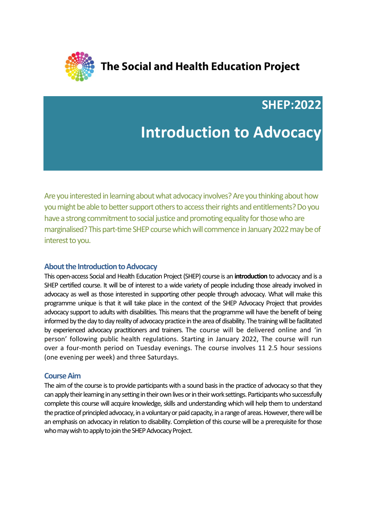

The Social and Health Education Project

**SHEP:2022**

# **Introduction to Advocacy**

Are you interested in learning about what advocacy involves? Are you thinking about how you might be able to better support others to access their rights and entitlements? Do you have a strong commitment to social justice and promoting equality for those who are marginalised? This part-time SHEP course which will commence in January 2022may be of interest to you.

## **About the Introduction to Advocacy**

This open-access Social and Health Education Project (SHEP) course is an **introduction** to advocacy and is a SHEP certified course. It will be of interest to a wide variety of people including those already involved in advocacy as well as those interested in supporting other people through advocacy. What will make this programme unique is that it will take place in the context of the SHEP Advocacy Project that provides advocacy support to adults with disabilities. This means that the programme will have the benefit of being informed by the day to day reality of advocacy practice in the area of disability. The training will be facilitated by experienced advocacy practitioners and trainers. The course will be delivered online and 'in person' following public health regulations. Starting in January 2022, The course will run over a four-month period on Tuesday evenings. The course involves 11 2.5 hour sessions (one evening per week) and three Saturdays.

#### **Course Aim**

The aim of the course is to provide participants with a sound basis in the practice of advocacy so that they can apply their learning in any setting in their own lives or in their work settings. Participants who successfully complete this course will acquire knowledge, skills and understanding which will help them to understand the practice of principled advocacy, in a voluntary or paid capacity, in a range of areas. However, there will be an emphasis on advocacy in relation to disability. Completion of this course will be a prerequisite for those who may wish to apply to join the SHEP Advocacy Project.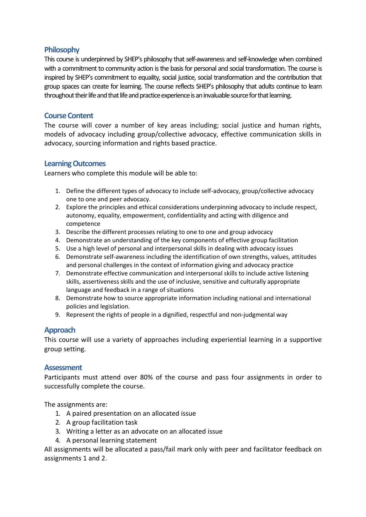# **Philosophy**

This course is underpinned by SHEP's philosophy that self-awareness and self-knowledge when combined with a commitment to community action is the basis for personal and social transformation. The course is inspired by SHEP's commitment to equality, social justice, social transformation and the contribution that group spaces can create for learning. The course reflects SHEP's philosophy that adults continue to learn throughout their life and that life and practice experience is an invaluable source for that learning.

# **Course Content**

The course will cover a number of key areas including; social justice and human rights, models of advocacy including group/collective advocacy, effective communication skills in advocacy, sourcing information and rights based practice.

## **Learning Outcomes**

Learners who complete this module will be able to:

- 1. Define the different types of advocacy to include self-advocacy, group/collective advocacy one to one and peer advocacy.
- 2. Explore the principles and ethical considerations underpinning advocacy to include respect, autonomy, equality, empowerment, confidentiality and acting with diligence and competence
- 3. Describe the different processes relating to one to one and group advocacy
- 4. Demonstrate an understanding of the key components of effective group facilitation
- 5. Use a high level of personal and interpersonal skills in dealing with advocacy issues
- 6. Demonstrate self-awareness including the identification of own strengths, values, attitudes and personal challenges in the context of information giving and advocacy practice
- 7. Demonstrate effective communication and interpersonal skills to include active listening skills, assertiveness skills and the use of inclusive, sensitive and culturally appropriate language and feedback in a range of situations
- 8. Demonstrate how to source appropriate information including national and international policies and legislation.
- 9. Represent the rights of people in a dignified, respectful and non-judgmental way

## **Approach**

This course will use a variety of approaches including experiential learning in a supportive group setting.

#### **Assessment**

Participants must attend over 80% of the course and pass four assignments in order to successfully complete the course.

The assignments are:

- 1. A paired presentation on an allocated issue
- 2. A group facilitation task
- 3. Writing a letter as an advocate on an allocated issue
- 4. A personal learning statement

All assignments will be allocated a pass/fail mark only with peer and facilitator feedback on assignments 1 and 2.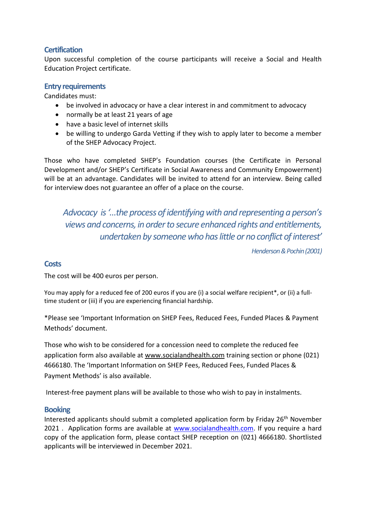# **Certification**

Upon successful completion of the course participants will receive a Social and Health Education Project certificate.

# **Entry requirements**

Candidates must:

- be involved in advocacy or have a clear interest in and commitment to advocacy
- normally be at least 21 years of age
- have a basic level of internet skills
- be willing to undergo Garda Vetting if they wish to apply later to become a member of the SHEP Advocacy Project.

Those who have completed SHEP's Foundation courses (the Certificate in Personal Development and/or SHEP's Certificate in Social Awareness and Community Empowerment) will be at an advantage. Candidates will be invited to attend for an interview. Being called for interview does not guarantee an offer of a place on the course.

*Advocacy is '…the process of identifying with and representing a person's views and concerns, in order to secure enhanced rights and entitlements, undertaken by someone who has little or no conflict of interest'*

*Henderson & Pochin (2001)*

## **Costs**

The cost will be 400 euros per person.

You may apply for a reduced fee of 200 euros if you are (i) a social welfare recipient\*, or (ii) a fulltime student or (iii) if you are experiencing financial hardship.

\*Please see 'Important Information on SHEP Fees, Reduced Fees, Funded Places & Payment Methods' document.

Those who wish to be considered for a concession need to complete the reduced fee application form also available at [www.socialandhealth.com](http://www.socialandhealth.com/) training section or phone (021) 4666180. The 'Important Information on SHEP Fees, Reduced Fees, Funded Places & Payment Methods' is also available.

Interest-free payment plans will be available to those who wish to pay in instalments.

## **Booking**

Interested applicants should submit a completed application form by Friday 26<sup>th</sup> November 2021 . Application forms are available at [www.socialandhealth.com.](http://www.socialandhealth.com/) If you require a hard copy of the application form, please contact SHEP reception on (021) 4666180. Shortlisted applicants will be interviewed in December 2021.